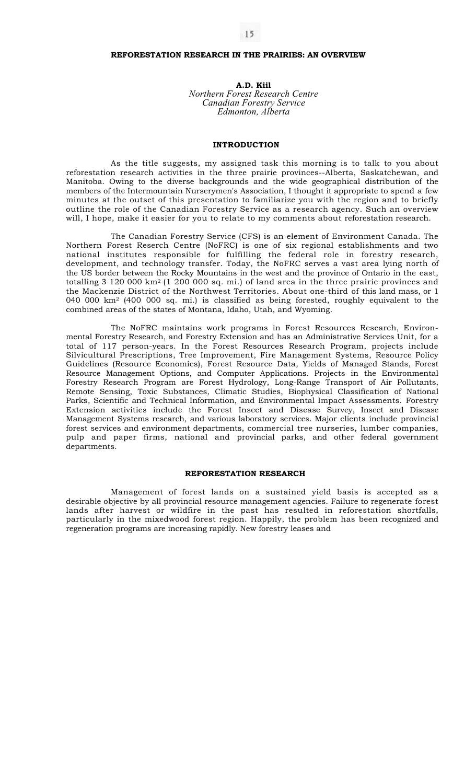# **REFORESTATION RESEARCH IN THE PRAIRIES: AN OVERVIEW**

**A.D. Kiil**  *Northern Forest Research Centre Canadian Forestry Service Edmonton, Alberta* 

# **INTRODUCTION**

As the title suggests, my assigned task this morning is to talk to you about reforestation research activities in the three prairie provinces--Alberta, Saskatchewan, and Manitoba. Owing to the diverse backgrounds and the wide geographical distribution of the members of the Intermountain Nurserymen's Association, I thought it appropriate to spend a few minutes at the outset of this presentation to familiarize you with the region and to briefly outline the role of the Canadian Forestry Service as a research agency. Such an overview will, I hope, make it easier for you to relate to my comments about reforestation research.

The Canadian Forestry Service (CFS) is an element of Environment Canada. The Northern Forest Reserch Centre (NoFRC) is one of six regional establishments and two national institutes responsible for fulfilling the federal role in forestry research, development, and technology transfer. Today, the NoFRC serves a vast area lying north of the US border between the Rocky Mountains in the west and the province of Ontario in the east, totalling  $3\,120\,000\ \mathrm{km^2}$  (1 200 000 sq. mi.) of land area in the three prairie provinces and the Mackenzie District of the Northwest Territories. About one-third of this land mass, or 1 040 000  $km^2$  (400 000 sq. mi.) is classified as being forested, roughly equivalent to the combined areas of the states of Montana, Idaho, Utah, and Wyoming.

The NoFRC maintains work programs in Forest Resources Research, Environmental Forestry Research, and Forestry Extension and has an Administrative Services Unit, for a total of 117 person-years. In the Forest Resources Research Program, projects include Silvicultural Prescriptions, Tree Improvement, Fire Management Systems, Resource Policy Guidelines (Resource Economics), Forest Resource Data, Yields of Managed Stands, Forest Resource Management Options, and Computer Applications. Projects in the Environmental Forestry Research Program are Forest Hydrology, Long-Range Transport of Air Pollutants, Remote Sensing, Toxic Substances, Climatic Studies, Biophysical Classification of National Parks, Scientific and Technical Information, and Environmental Impact Assessments. Forestry Extension activities include the Forest Insect and Disease Survey, Insect and Disease Management Systems research, and various laboratory services. Major clients include provincial forest services and environment departments, commercial tree nurseries, lumber companies, pulp and paper firms, national and provincial parks, and other federal government departments.

## **REFORESTATION RESEARCH**

Management of forest lands on a sustained yield basis is accepted as a desirable objective by all provincial resource management agencies. Failure to regenerate forest lands after harvest or wildfire in the past has resulted in reforestation shortfalls, particularly in the mixedwood forest region. Happily, the problem has been recognized and regeneration programs are increasing rapidly. New forestry leases and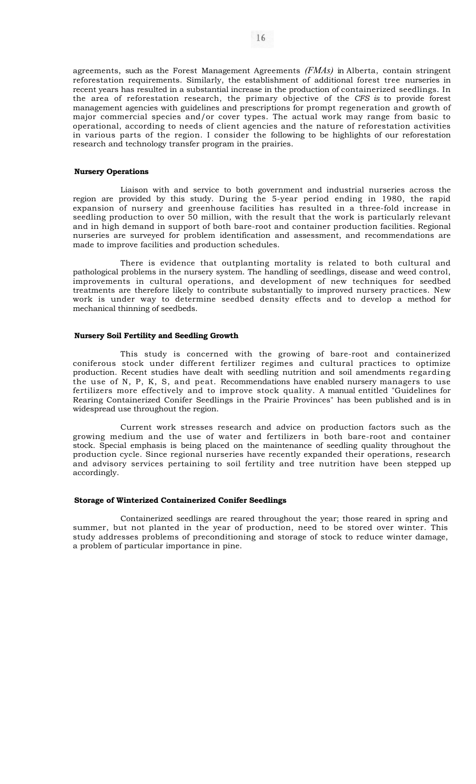agreements, such as the Forest Management Agreements *(FMAs)* in Alberta, contain stringent reforestation requirements. Similarly, the establishment of additional forest tree nurseries in recent years has resulted in a substantial increase in the production of containerized seedlings. In the area of reforestation research, the primary objective of the *CFS is* to provide forest management agencies with guidelines and prescriptions for prompt regeneration and growth of major commercial species and/or cover types. The actual work may range from basic to operational, according to needs of client agencies and the nature of reforestation activities in various parts of the region. I consider the following to be highlights of our reforestation research and technology transfer program in the prairies.

## **Nursery Operations**

Liaison with and service to both government and industrial nurseries across the region are provided by this study. During the 5-year period ending in 1980, the rapid expansion of nursery and greenhouse facilities has resulted in a three-fold increase in seedling production to over 50 million, with the result that the work is particularly relevant and in high demand in support of both bare-root and container production facilities. Regional nurseries are surveyed for problem identification and assessment, and recommendations are made to improve facilities and production schedules.

There is evidence that outplanting mortality is related to both cultural and pathological problems in the nursery system. The handling of seedlings, disease and weed control, improvements in cultural operations, and development of new techniques for seedbed treatments are therefore likely to contribute substantially to improved nursery practices. New work is under way to determine seedbed density effects and to develop a method for mechanical thinning of seedbeds.

# **Nursery Soil Fertility and Seedling Growth**

This study is concerned with the growing of bare-root and containerized coniferous stock under different fertilizer regimes and cultural practices to optimize production. Recent studies have dealt with seedling nutrition and soil amendments regarding the use of N, P, K, S, and peat. Recommendations have enabled nursery managers to use fertilizers more effectively and to improve stock quality. A manual entitled "Guidelines for Rearing Containerized Conifer Seedlings in the Prairie Provinces" has been published and is in widespread use throughout the region.

Current work stresses research and advice on production factors such as the growing medium and the use of water and fertilizers in both bare-root and container stock. Special emphasis is being placed on the maintenance of seedling quality throughout the production cycle. Since regional nurseries have recently expanded their operations, research and advisory services pertaining to soil fertility and tree nutrition have been stepped up accordingly.

#### **Storage of Winterized Containerized Conifer Seedlings**

Containerized seedlings are reared throughout the year; those reared in spring and summer, but not planted in the year of production, need to be stored over winter. This study addresses problems of preconditioning and storage of stock to reduce winter damage, a problem of particular importance in pine.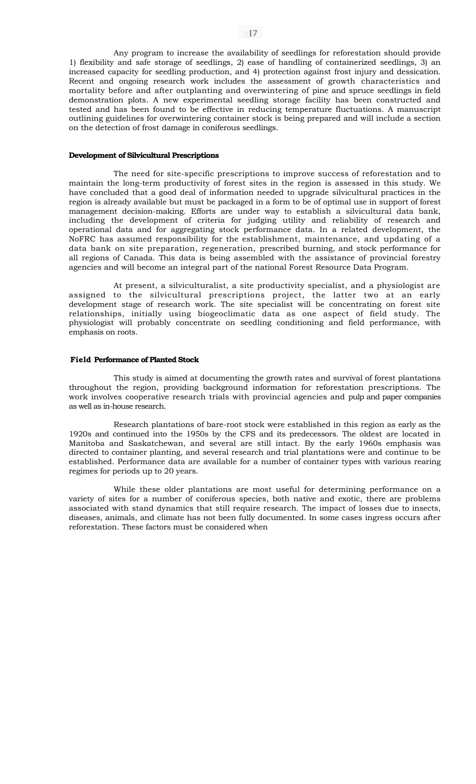Any program to increase the availability of seedlings for reforestation should provide 1) flexibility and safe storage of seedlings, 2) ease of handling of containerized seedlings, 3) an increased capacity for seedling production, and 4) protection against frost injury and dessication. Recent and ongoing research work includes the assessment of growth characteristics and mortality before and after outplanting and overwintering of pine and spruce seedlings in field demonstration plots. A new experimental seedling storage facility has been constructed and tested and has been found to be effective in reducing temperature fluctuations. A manuscript outlining guidelines for overwintering container stock is being prepared and will include a section on the detection of frost damage in coniferous seedlings.

## **Development of Silvicultural Prescriptions**

The need for site-specific prescriptions to improve success of reforestation and to maintain the long-term productivity of forest sites in the region is assessed in this study. We have concluded that a good deal of information needed to upgrade silvicultural practices in the region is already available but must be packaged in a form to be of optimal use in support of forest management decision-making. Efforts are under way to establish a silvicultural data bank, including the development of criteria for judging utility and reliability of research and operational data and for aggregating stock performance data. In a related development, the NoFRC has assumed responsibility for the establishment, maintenance, and updating of a data bank on site preparation, regeneration, prescribed burning, and stock performance for all regions of Canada. This data is being assembled with the assistance of provincial forestry agencies and will become an integral part of the national Forest Resource Data Program.

At present, a silviculturalist, a site productivity specialist, and a physiologist are assigned to the silvicultural prescriptions project, the latter two at an early development stage of research work. The site specialist will be concentrating on forest site relationships, initially using biogeoclimatic data as one aspect of field study. The physiologist will probably concentrate on seedling conditioning and field performance, with emphasis on roots.

#### **Field Performance of Planted Stock**

This study is aimed at documenting the growth rates and survival of forest plantations throughout the region, providing background information for reforestation prescriptions. The work involves cooperative research trials with provincial agencies and pulp and paper companies as well as in-house research.

Research plantations of bare-root stock were established in this region as early as the 1920s and continued into the 1950s by the CFS and its predecessors. The oldest are located in Manitoba and Saskatchewan, and several are still intact. By the early 1960s emphasis was directed to container planting, and several research and trial plantations were and continue to be established. Performance data are available for a number of container types with various rearing regimes for periods up to 20 years.

While these older plantations are most useful for determining performance on a variety of sites for a number of coniferous species, both native and exotic, there are problems associated with stand dynamics that still require research. The impact of losses due to insects, diseases, animals, and climate has not been fully documented. In some cases ingress occurs after reforestation. These factors must be considered when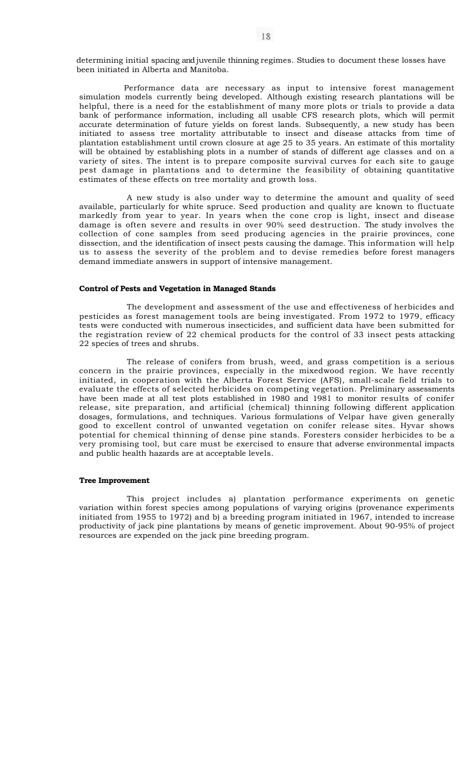determining initial spacing and juvenile thinning regimes. Studies to document these losses have been initiated in Alberta and Manitoba.

Performance data are necessary as input to intensive forest management simulation models currently being developed. Although existing research plantations will be helpful, there is a need for the establishment of many more plots or trials to provide a data bank of performance information, including all usable CFS research plots, which will permit accurate determination of future yields on forest lands. Subsequently, a new study has been initiated to assess tree mortality attributable to insect and disease attacks from time of plantation establishment until crown closure at age 25 to 35 years. An estimate of this mortality will be obtained by establishing plots in a number of stands of different age classes and on a variety of sites. The intent is to prepare composite survival curves for each site to gauge pest damage in plantations and to determine the feasibility of obtaining quantitative estimates of these effects on tree mortality and growth loss.

A new study is also under way to determine the amount and quality of seed available, particularly for white spruce. Seed production and quality are known to fluctuate markedly from year to year. In years when the cone crop is light, insect and disease damage is often severe and results in over 90% seed destruction. The study involves the collection of cone samples from seed producing agencies in the prairie provinces, cone dissection, and the identification of insect pests causing the damage. This information will help us to assess the severity of the problem and to devise remedies before forest managers demand immediate answers in support of intensive management.

#### **Control of Pests and Vegetation in Managed Stands**

The development and assessment of the use and effectiveness of herbicides and pesticides as forest management tools are being investigated. From 1972 to 1979, efficacy tests were conducted with numerous insecticides, and sufficient data have been submitted for the registration review of 22 chemical products for the control of 33 insect pests attacking 22 species of trees and shrubs.

The release of conifers from brush, weed, and grass competition is a serious concern in the prairie provinces, especially in the mixedwood region. We have recently initiated, in cooperation with the Alberta Forest Service (AFS), small-scale field trials to evaluate the effects of selected herbicides on competing vegetation. Preliminary assessments have been made at all test plots established in 1980 and 1981 to monitor results of conifer release, site preparation, and artificial (chemical) thinning following different application dosages, formulations, and techniques. Various formulations of Velpar have given generally good to excellent control of unwanted vegetation on conifer release sites. Hyvar shows potential for chemical thinning of dense pine stands. Foresters consider herbicides to be a very promising tool, but care must be exercised to ensure that adverse environmental impacts and public health hazards are at acceptable levels.

## **Tree Improvement**

This project includes a) plantation performance experiments on genetic variation within forest species among populations of varying origins (provenance experiments initiated from 1955 to 1972) and b) a breeding program initiated in 1967, intended to increase productivity of jack pine plantations by means of genetic improvement. About 90-95% of project resources are expended on the jack pine breeding program.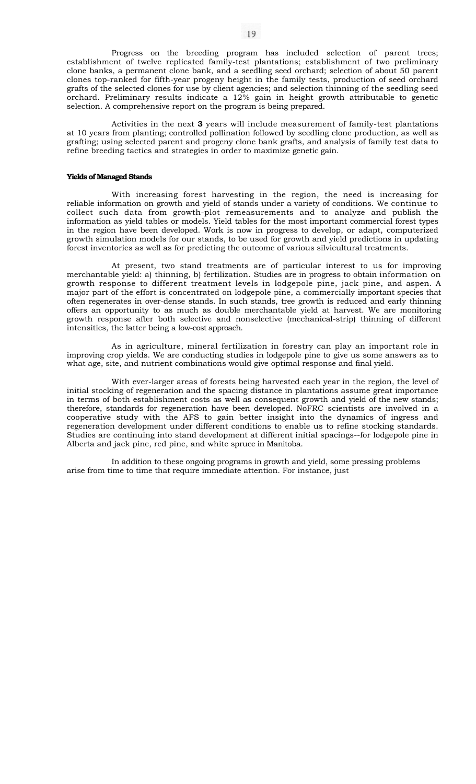Progress on the breeding program has included selection of parent trees; establishment of twelve replicated family-test plantations; establishment of two preliminary clone banks, a permanent clone bank, and a seedling seed orchard; selection of about 50 parent clones top-ranked for fifth-year progeny height in the family tests, production of seed orchard grafts of the selected clones for use by client agencies; and selection thinning of the seedling seed orchard. Preliminary results indicate a 12% gain in height growth attributable to genetic selection. A comprehensive report on the program is being prepared.

Activities in the next **3** years will include measurement of family-test plantations at 10 years from planting; controlled pollination followed by seedling clone production, as well as grafting; using selected parent and progeny clone bank grafts, and analysis of family test data to refine breeding tactics and strategies in order to maximize genetic gain.

## **Yields of Managed Stands**

With increasing forest harvesting in the region, the need is increasing for reliable information on growth and yield of stands under a variety of conditions. We continue to collect such data from growth-plot remeasurements and to analyze and publish the information as yield tables or models. Yield tables for the most important commercial forest types in the region have been developed. Work is now in progress to develop, or adapt, computerized growth simulation models for our stands, to be used for growth and yield predictions in updating forest inventories as well as for predicting the outcome of various silvicultural treatments.

At present, two stand treatments are of particular interest to us for improving merchantable yield: a) thinning, b) fertilization. Studies are in progress to obtain information on growth response to different treatment levels in lodgepole pine, jack pine, and aspen. A major part of the effort is concentrated on lodgepole pine, a commercially important species that often regenerates in over-dense stands. In such stands, tree growth is reduced and early thinning offers an opportunity to as much as double merchantable yield at harvest. We are monitoring growth response after both selective and nonselective (mechanical-strip) thinning of different intensities, the latter being a low-cost approach.

As in agriculture, mineral fertilization in forestry can play an important role in improving crop yields. We are conducting studies in lodgepole pine to give us some answers as to what age, site, and nutrient combinations would give optimal response and final yield.

With ever-larger areas of forests being harvested each year in the region, the level of initial stocking of regeneration and the spacing distance in plantations assume great importance in terms of both establishment costs as well as consequent growth and yield of the new stands; therefore, standards for regeneration have been developed. NoFRC scientists are involved in a cooperative study with the AFS to gain better insight into the dynamics of ingress and regeneration development under different conditions to enable us to refine stocking standards. Studies are continuing into stand development at different initial spacings--for lodgepole pine in Alberta and jack pine, red pine, and white spruce in Manitoba.

In addition to these ongoing programs in growth and yield, some pressing problems arise from time to time that require immediate attention. For instance, just